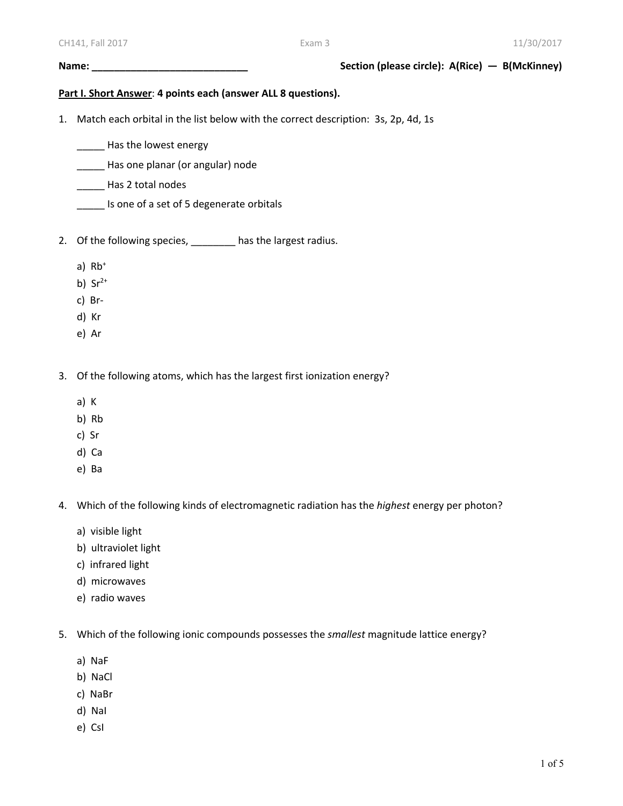## **Name: \_\_\_\_\_\_\_\_\_\_\_\_\_\_\_\_\_\_\_\_\_\_\_\_\_\_\_\_ Section (please circle): A(Rice) — B(McKinney)**

## **Part I. Short Answer**: **4 points each (answer ALL 8 questions).**

- 1. Match each orbital in the list below with the correct description: 3s, 2p, 4d, 1s
	- \_\_\_\_\_\_ Has the lowest energy
	- \_\_\_\_\_ Has one planar (or angular) node
	- \_\_\_\_\_ Has 2 total nodes
	- \_\_\_\_\_ Is one of a set of 5 degenerate orbitals
- 2. Of the following species, \_\_\_\_\_\_\_\_ has the largest radius.
	- a)  $Rb^+$
	- b)  $Sr^{2+}$
	- c) Br-
	- d) Kr
	- e) Ar
- 3. Of the following atoms, which has the largest first ionization energy?
	- a) K
	- b) Rb
	- c) Sr
	- d) Ca
	- e) Ba
- 4. Which of the following kinds of electromagnetic radiation has the *highest* energy per photon?
	- a) visible light
	- b) ultraviolet light
	- c) infrared light
	- d) microwaves
	- e) radio waves
- 5. Which of the following ionic compounds possesses the *smallest* magnitude lattice energy?
	- a) NaF
	- b) NaCl
	- c) NaBr
	- d) NaI
	- e) CsI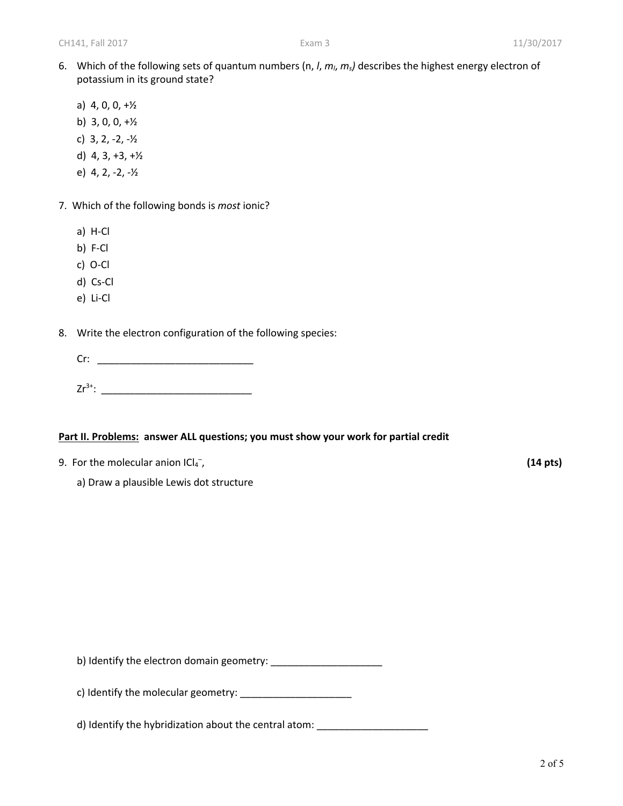- 6. Which of the following sets of quantum numbers (n, *l*, *ml*, *ms)* describes the highest energy electron of potassium in its ground state?
	- a) 4, 0, 0, +½
	- b)  $3, 0, 0, +\frac{1}{2}$
	- c) 3, 2, -2, -½
	- d) 4, 3, +3, +½
	- e) 4, 2, -2, -½
- 7. Which of the following bonds is *most* ionic?
	- a) H-Cl
	- b) F-Cl
	- c) O-Cl
	- d) Cs-Cl
	- e) Li-Cl
- 8. Write the electron configuration of the following species:
	- Cr: \_\_\_\_\_\_\_\_\_\_\_\_\_\_\_\_\_\_\_\_\_\_\_\_\_\_\_\_
	- Zr3+: \_\_\_\_\_\_\_\_\_\_\_\_\_\_\_\_\_\_\_\_\_\_\_\_\_\_\_

## **Part II. Problems: answer ALL questions; you must show your work for partial credit**

- 9. For the molecular anion  $|Cl_4^-$
- , **(14 pts)**
	- a) Draw a plausible Lewis dot structure

b) Identify the electron domain geometry: \_\_\_\_\_\_\_\_\_\_\_\_\_\_\_\_\_\_\_\_

c) Identify the molecular geometry: \_\_\_\_\_\_\_\_\_\_\_\_\_\_\_\_\_\_\_\_

d) Identify the hybridization about the central atom: \_\_\_\_\_\_\_\_\_\_\_\_\_\_\_\_\_\_\_\_\_\_\_\_\_\_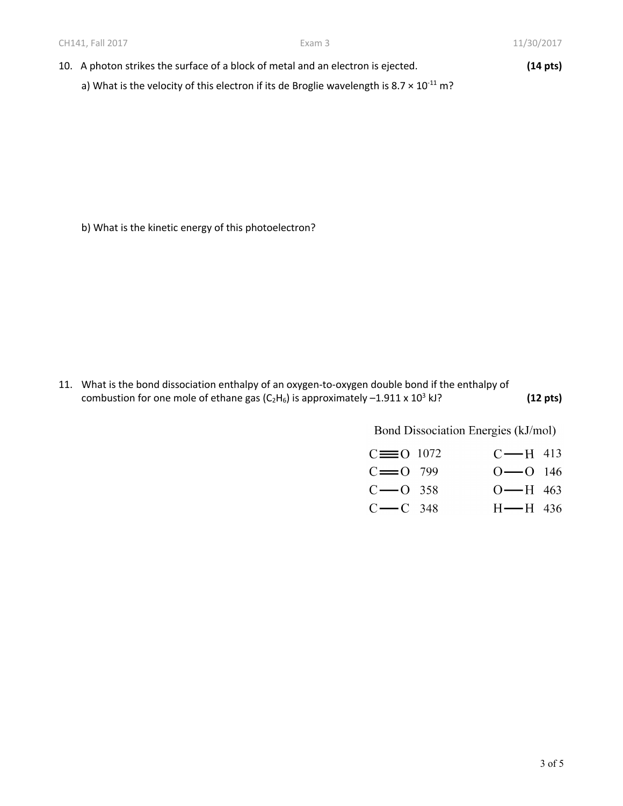- 10. A photon strikes the surface of a block of metal and an electron is ejected. **(14 pts)**
	- a) What is the velocity of this electron if its de Broglie wavelength is  $8.7 \times 10^{-11}$  m?

b) What is the kinetic energy of this photoelectron?

11. What is the bond dissociation enthalpy of an oxygen-to-oxygen double bond if the enthalpy of combustion for one mole of ethane gas  $(C_2H_6)$  is approximately  $-1.911 \times 10^3$  kJ? **(12 pts)** 

Bond Dissociation Energies (kJ/mol)

| $C \equiv 0$ 1072 | $C$ —H 413            |
|-------------------|-----------------------|
| $C = 0$ 799       | $O \rightarrow 0$ 146 |
| $C$ — O 358       | O—H 463               |
| $C$ — $C$ 348     | $H$ $ H$ 436          |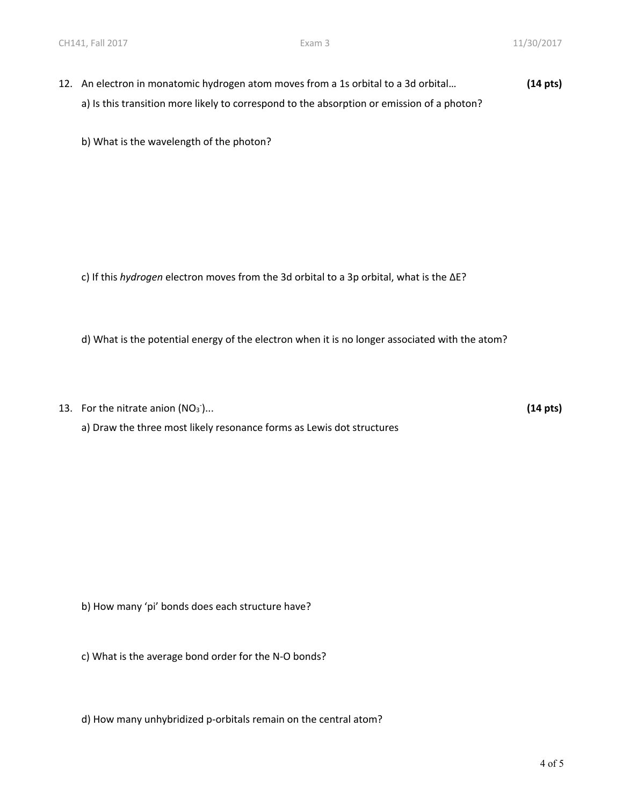12. An electron in monatomic hydrogen atom moves from a 1s orbital to a 3d orbital… **(14 pts)** a) Is this transition more likely to correspond to the absorption or emission of a photon?

b) What is the wavelength of the photon?

c) If this *hydrogen* electron moves from the 3d orbital to a 3p orbital, what is the ∆E?

d) What is the potential energy of the electron when it is no longer associated with the atom?

13. For the nitrate anion  $(NO<sub>3</sub>)$ )... **(14 pts)**

a) Draw the three most likely resonance forms as Lewis dot structures

b) How many 'pi' bonds does each structure have?

c) What is the average bond order for the N-O bonds?

d) How many unhybridized p-orbitals remain on the central atom?